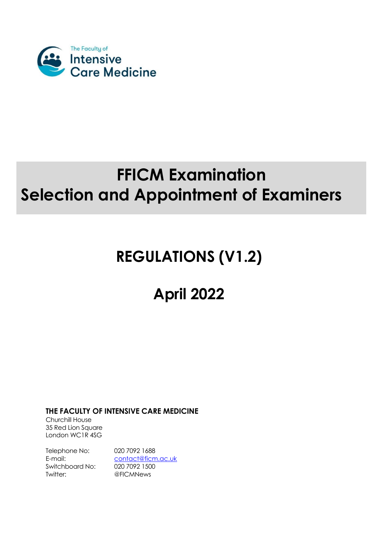

# **FFICM Examination Selection and Appointment of Examiners**

# **REGULATIONS (V1.2)**

# **April 2022**

**THE FACULTY OF INTENSIVE CARE MEDICINE**

Churchill House 35 Red Lion Square London WC1R 4SG

Telephone No: 020 7092 1688 Switchboard No: 020 7092 1500 Twitter: @FICMNews

E-mail: [contact@ficm.ac.uk](mailto:contact@ficm.ac.uk)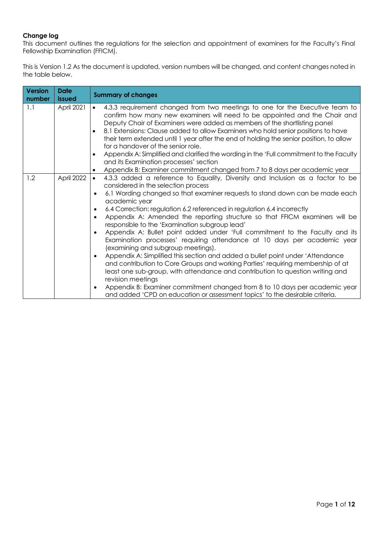### **Change log**

This document outlines the regulations for the selection and appointment of examiners for the Faculty's Final Fellowship Examination (FFICM).

This is Version 1.2 As the document is updated, version numbers will be changed, and content changes noted in the table below.

| <b>Version</b><br>number | <b>Date</b><br>issued | <b>Summary of changes</b>                                                                                                                                                                                                                                                                                                                                                                                                                                                                                                                                                                                                                                                                                                                                                                                                                                                                                                                                                                                                                                                                                                                       |
|--------------------------|-----------------------|-------------------------------------------------------------------------------------------------------------------------------------------------------------------------------------------------------------------------------------------------------------------------------------------------------------------------------------------------------------------------------------------------------------------------------------------------------------------------------------------------------------------------------------------------------------------------------------------------------------------------------------------------------------------------------------------------------------------------------------------------------------------------------------------------------------------------------------------------------------------------------------------------------------------------------------------------------------------------------------------------------------------------------------------------------------------------------------------------------------------------------------------------|
| 1.1                      | April 2021            | 4.3.3 requirement changed from two meetings to one for the Executive team to<br>$\bullet$<br>confirm how many new examiners will need to be appointed and the Chair and<br>Deputy Chair of Examiners were added as members of the shortlisting panel<br>8.1 Extensions: Clause added to allow Examiners who hold senior positions to have<br>$\bullet$<br>their term extended until 1 year after the end of holding the senior position, to allow<br>for a handover of the senior role.<br>Appendix A: Simplified and clarified the wording in the 'Full commitment to the Faculty<br>and its Examination processes' section<br>Appendix B: Examiner commitment changed from 7 to 8 days per academic year                                                                                                                                                                                                                                                                                                                                                                                                                                      |
| 1.2                      | April 2022            | 4.3.3 added a reference to Equality, Diversity and Inclusion as a factor to be<br>$\bullet$<br>considered in the selection process<br>6.1 Wording changed so that examiner requests to stand down can be made each<br>academic year<br>6.4 Correction: regulation 6.2 referenced in regulation 6.4 incorrectly<br>$\bullet$<br>Appendix A: Amended the reporting structure so that FFICM examiners will be<br>$\bullet$<br>responsible to the 'Examination subgroup lead'<br>Appendix A: Bullet point added under 'Full commitment to the Faculty and its<br>$\bullet$<br>Examination processes' requiring attendance at 10 days per academic year<br>(examining and subgroup meetings).<br>Appendix A: Simplified this section and added a bullet point under 'Attendance<br>$\bullet$<br>and contribution to Core Groups and working Parties' requiring membership of at<br>least one sub-group, with attendance and contribution to question writing and<br>revision meetings<br>Appendix B: Examiner commitment changed from 8 to 10 days per academic year<br>and added 'CPD on education or assessment topics' to the desirable criteria. |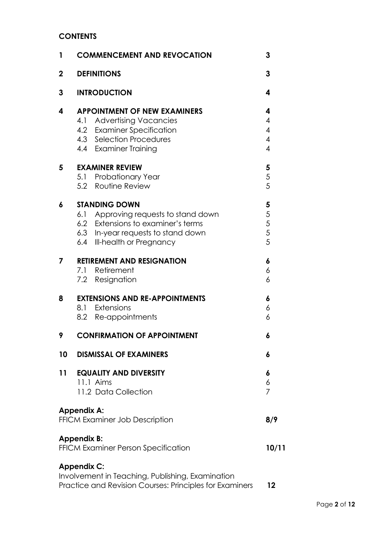# **CONTENTS**

| 1           | <b>COMMENCEMENT AND REVOCATION</b>                                                                                                                                      | 3                                          |
|-------------|-------------------------------------------------------------------------------------------------------------------------------------------------------------------------|--------------------------------------------|
| $\mathbf 2$ | <b>DEFINITIONS</b>                                                                                                                                                      | 3                                          |
| 3           | <b>INTRODUCTION</b>                                                                                                                                                     | 4                                          |
| 4           | <b>APPOINTMENT OF NEW EXAMINERS</b><br>4.1 Advertising Vacancies<br>4.2 Examiner Specification                                                                          | 4<br>4<br>$\overline{4}$                   |
|             | 4.3 Selection Procedures<br>4.4 Examiner Training                                                                                                                       | $\overline{\mathcal{A}}$<br>$\overline{4}$ |
| 5           | <b>EXAMINER REVIEW</b><br>5.1 Probationary Year<br>5.2 Routine Review                                                                                                   | 5<br>$\mathfrak s$<br>5                    |
| 6           | <b>STANDING DOWN</b><br>6.1 Approving requests to stand down<br>6.2 Extensions to examiner's terms<br>6.3 In-year requests to stand down<br>6.4 Ill-health or Pregnancy | 5<br>5<br>5<br>5<br>5                      |
| 7           | <b>RETIREMENT AND RESIGNATION</b><br>7.1 Retirement<br>7.2 Resignation                                                                                                  | 6<br>6<br>6                                |
| 8           | <b>EXTENSIONS AND RE-APPOINTMENTS</b><br>8.1 Extensions<br>8.2 Re-appointments                                                                                          | 6<br>6<br>6                                |
| 9           | <b>CONFIRMATION OF APPOINTMENT</b>                                                                                                                                      | 6                                          |
| 10          | <b>DISMISSAL OF EXAMINERS</b>                                                                                                                                           | 6                                          |
| 11          | <b>EQUALITY AND DIVERSITY</b><br>11.1 Aims<br>11.2 Data Collection                                                                                                      | 6<br>6<br>7                                |
|             | <b>Appendix A:</b><br>FFICM Examiner Job Description                                                                                                                    | 8/9                                        |
|             | <b>Appendix B:</b><br>FFICM Examiner Person Specification                                                                                                               | 10/11                                      |
|             | <b>Appendix C:</b><br>Involvement in Teaching, Publishing, Examination<br>Practice and Revision Courses: Principles for Examiners                                       | 12                                         |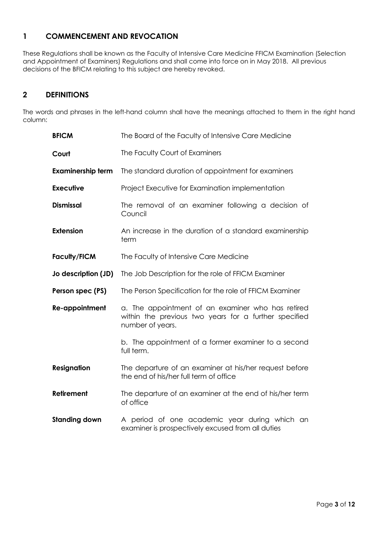# **1 COMMENCEMENT AND REVOCATION**

These Regulations shall be known as the Faculty of Intensive Care Medicine FFICM Examination (Selection and Appointment of Examiners) Regulations and shall come into force on in May 2018. All previous decisions of the BFICM relating to this subject are hereby revoked.

# **2 DEFINITIONS**

The words and phrases in the left-hand column shall have the meanings attached to them in the right hand column:

| <b>BFICM</b>             | The Board of the Faculty of Intensive Care Medicine                                                                            |  |
|--------------------------|--------------------------------------------------------------------------------------------------------------------------------|--|
| Court                    | The Faculty Court of Examiners                                                                                                 |  |
| <b>Examinership term</b> | The standard duration of appointment for examiners                                                                             |  |
| <b>Executive</b>         | Project Executive for Examination implementation                                                                               |  |
| <b>Dismissal</b>         | The removal of an examiner following a decision of<br>Council                                                                  |  |
| <b>Extension</b>         | An increase in the duration of a standard examinership<br>term                                                                 |  |
| <b>Faculty/FICM</b>      | The Faculty of Intensive Care Medicine                                                                                         |  |
| Jo description (JD)      | The Job Description for the role of FFICM Examiner                                                                             |  |
| Person spec (PS)         | The Person Specification for the role of FFICM Examiner                                                                        |  |
| Re-appointment           | a. The appointment of an examiner who has retired<br>within the previous two years for a further specified<br>number of years. |  |
|                          | b. The appointment of a former examiner to a second<br>full term.                                                              |  |
| <b>Resignation</b>       | The departure of an examiner at his/her request before<br>the end of his/her full term of office                               |  |
| Retirement               | The departure of an examiner at the end of his/her term<br>of office                                                           |  |
|                          |                                                                                                                                |  |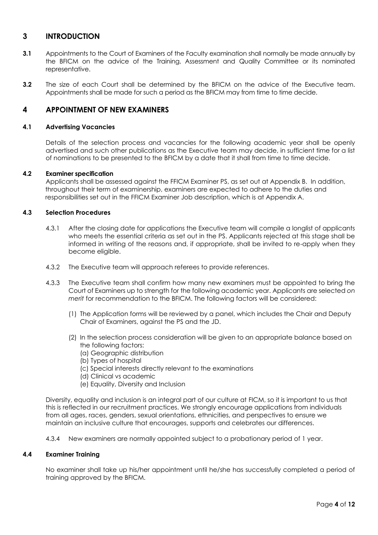## **3 INTRODUCTION**

- **3.1** Appointments to the Court of Examiners of the Faculty examination shall normally be made annually by the BFICM on the advice of the Training, Assessment and Quality Committee or its nominated representative.
- **3.2** The size of each Court shall be determined by the BFICM on the advice of the Executive team. Appointments shall be made for such a period as the BFICM may from time to time decide.

## **4 APPOINTMENT OF NEW EXAMINERS**

#### **4.1 Advertising Vacancies**

Details of the selection process and vacancies for the following academic year shall be openly advertised and such other publications as the Executive team may decide, in sufficient time for a list of nominations to be presented to the BFICM by a date that it shall from time to time decide.

#### **4.2 Examiner specification**

Applicants shall be assessed against the FFICM Examiner PS, as set out at Appendix B. In addition, throughout their term of examinership, examiners are expected to adhere to the duties and responsibilities set out in the FFICM Examiner Job description, which is at Appendix A.

### **4.3 Selection Procedures**

- 4.3.1 After the closing date for applications the Executive team will compile a longlist of applicants who meets the essential criteria as set out in the PS. Applicants rejected at this stage shall be informed in writing of the reasons and, if appropriate, shall be invited to re-apply when they become eligible.
- 4.3.2 The Executive team will approach referees to provide references.
- 4.3.3 The Executive team shall confirm how many new examiners must be appointed to bring the Court of Examiners up to strength for the following academic year. Applicants are selected *on merit* for recommendation to the BFICM. The following factors will be considered:
	- (1) The Application forms will be reviewed by a panel, which includes the Chair and Deputy Chair of Examiners, against the PS and the JD.
	- (2) In the selection process consideration will be given to an appropriate balance based on the following factors:
		- (a) Geographic distribution
		- (b) Types of hospital
		- (c) Special interests directly relevant to the examinations
		- (d) Clinical vs academic
		- (e) Equality, Diversity and Inclusion

Diversity, equality and inclusion is an integral part of our culture at FICM, so it is important to us that this is reflected in our recruitment practices. We strongly encourage applications from individuals from all ages, races, genders, sexual orientations, ethnicities, and perspectives to ensure we maintain an inclusive culture that encourages, supports and celebrates our differences.

4.3.4 New examiners are normally appointed subject to a probationary period of 1 year.

#### **4.4 Examiner Training**

No examiner shall take up his/her appointment until he/she has successfully completed a period of training approved by the BFICM.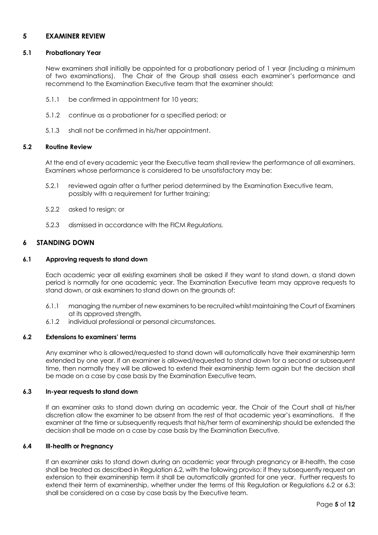## **5 EXAMINER REVIEW**

#### **5.1 Probationary Year**

New examiners shall initially be appointed for a probationary period of 1 year (including a minimum of two examinations). The Chair of the Group shall assess each examiner's performance and recommend to the Examination Executive team that the examiner should:

- 5.1.1 be confirmed in appointment for 10 years;
- 5.1.2 continue as a probationer for a specified period; or
- 5.1.3 shall not be confirmed in his/her appointment.

#### **5.2 Routine Review**

At the end of every academic year the Executive team shall review the performance of all examiners. Examiners whose performance is considered to be unsatisfactory may be:

- 5.2.1 reviewed again after a further period determined by the Examination Executive team, possibly with a requirement for further training;
- 5.2.2 asked to resign; or
- 5.2.3 dismissed in accordance with the FICM *Regulations.*

### **6 STANDING DOWN**

#### **6.1 Approving requests to stand down**

Each academic year all existing examiners shall be asked if they want to stand down, a stand down period is normally for one academic year. The Examination Executive team may approve requests to stand down, or ask examiners to stand down on the grounds of:

- 6.1.1 managing the number of new examiners to be recruited whilst maintaining the Court of Examiners at its approved strength.
- 6.1.2 individual professional or personal circumstances.

#### **6.2 Extensions to examiners' terms**

Any examiner who is allowed/requested to stand down will automatically have their examinership term extended by one year. If an examiner is allowed/requested to stand down for a second or subsequent time, then normally they will be allowed to extend their examinership term again but the decision shall be made on a case by case basis by the Examination Executive team.

#### **6.3 In-year requests to stand down**

If an examiner asks to stand down during an academic year, the Chair of the Court shall at his/her discretion allow the examiner to be absent from the rest of that academic year's examinations. If the examiner at the time or subsequently requests that his/her term of examinership should be extended the decision shall be made on a case by case basis by the Examination Executive.

#### **6.4 Ill-health or Pregnancy**

If an examiner asks to stand down during an academic year through pregnancy or ill-health, the case shall be treated as described in Regulation 6.2, with the following proviso: if they subsequently request an extension to their examinership term it shall be automatically granted for one year. Further requests to extend their term of examinership, whether under the terms of this Regulation or Regulations 6.2 or 6.3; shall be considered on a case by case basis by the Executive team.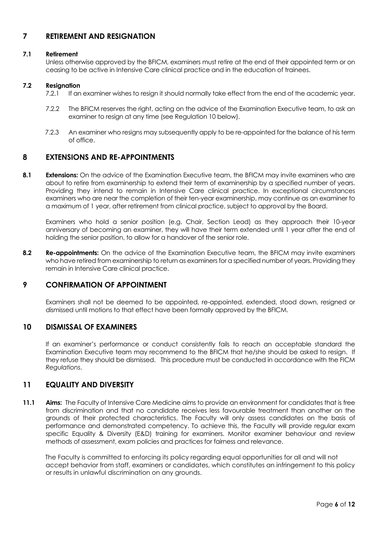# **7 RETIREMENT AND RESIGNATION**

### **7.1 Retirement**

Unless otherwise approved by the BFICM, examiners must retire at the end of their appointed term or on ceasing to be active in Intensive Care clinical practice and in the education of trainees.

### **7.2 Resignation**

- 7.2.1 If an examiner wishes to resign it should normally take effect from the end of the academic year.
- 7.2.2 The BFICM reserves the right, acting on the advice of the Examination Executive team, to ask an examiner to resign at any time (see Regulation 10 below).
- 7.2.3 An examiner who resigns may subsequently apply to be re-appointed for the balance of his term of office.

## **8 EXTENSIONS AND RE-APPOINTMENTS**

**8.1 Extensions:** On the advice of the Examination Executive team, the BFICM may invite examiners who are about to retire from examinership to extend their term of examinership by a specified number of years. Providing they intend to remain in Intensive Care clinical practice. In exceptional circumstances examiners who are near the completion of their ten-year examinership, may continue as an examiner to a maximum of 1 year, after retirement from clinical practice, subject to approval by the Board.

Examiners who hold a senior position (e.g. Chair, Section Lead) as they approach their 10-year anniversary of becoming an examiner, they will have their term extended until 1 year after the end of holding the senior position, to allow for a handover of the senior role.

**8.2 Re-appointments:** On the advice of the Examination Executive team, the BFICM may invite examiners who have retired from examinership to return as examiners for a specified number of years. Providing they remain in Intensive Care clinical practice.

## **9 CONFIRMATION OF APPOINTMENT**

Examiners shall not be deemed to be appointed, re-appointed, extended, stood down, resigned or dismissed until motions to that effect have been formally approved by the BFICM.

## **10 DISMISSAL OF EXAMINERS**

If an examiner's performance or conduct consistently fails to reach an acceptable standard the Examination Executive team may recommend to the BFICM that he/she should be asked to resign. If they refuse they should be dismissed. This procedure must be conducted in accordance with the FICM *Regulations*.

## **11 EQUALITY AND DIVERSITY**

**11.1 Aims:** The Faculty of Intensive Care Medicine aims to provide an environment for candidates that is free from discrimination and that no candidate receives less favourable treatment than another on the grounds of their protected characteristics. The Faculty will only assess candidates on the basis of performance and demonstrated competency. To achieve this, the Faculty will provide regular exam specific Equality & Diversity (E&D) training for examiners. Monitor examiner behaviour and review methods of assessment, exam policies and practices for fairness and relevance.

The Faculty is committed to enforcing its policy regarding equal opportunities for all and will not accept behavior from staff, examiners or candidates, which constitutes an infringement to this policy or results in unlawful discrimination on any grounds.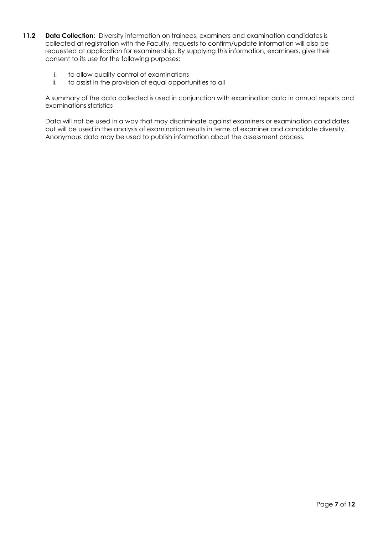- 11.2 **Data Collection:** Diversity information on trainees, examiners and examination candidates is collected at registration with the Faculty, requests to confirm/update information will also be requested at application for examinership. By supplying this information, examiners, give their consent to its use for the following purposes:
	- i. to allow quality control of examinations
	- ii. to assist in the provision of equal opportunities to all

A summary of the data collected is used in conjunction with examination data in annual reports and examinations statistics

Data will not be used in a way that may discriminate against examiners or examination candidates but will be used in the analysis of examination results in terms of examiner and candidate diversity. Anonymous data may be used to publish information about the assessment process.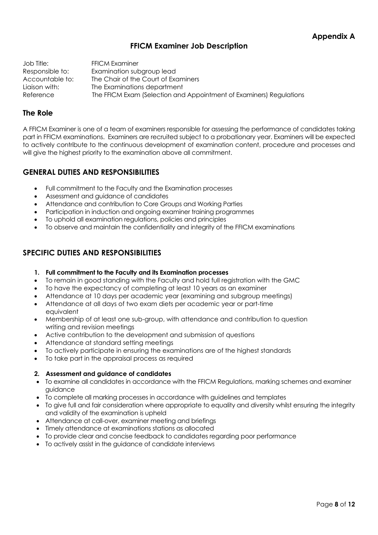# **FFICM Examiner Job Description**

Job Title: FFICM Examiner Responsible to: Examination subgroup lead Accountable to: The Chair of the Court of Examiners Liaison with: The Examinations department Reference The FFICM Exam (Selection and Appointment of Examiners) Regulations

## **The Role**

A FFICM Examiner is one of a team of examiners responsible for assessing the performance of candidates taking part in FFICM examinations. Examiners are recruited subject to a probationary year. Examiners will be expected to actively contribute to the continuous development of examination content, procedure and processes and will give the highest priority to the examination above all commitment.

# **GENERAL DUTIES AND RESPONSIBILITIES**

- Full commitment to the Faculty and the Examination processes
- Assessment and guidance of candidates
- Attendance and contribution to Core Groups and Working Parties
- Participation in induction and ongoing examiner training programmes
- To uphold all examination regulations, policies and principles
- To observe and maintain the confidentiality and integrity of the FFICM examinations

# **SPECIFIC DUTIES AND RESPONSIBILITIES**

- **1. Full commitment to the Faculty and its Examination processes**
- To remain in good standing with the Faculty and hold full registration with the GMC
- To have the expectancy of completing at least 10 years as an examiner
- Attendance at 10 days per academic year (examining and subgroup meetings)
- Attendance at all days of two exam diets per academic year or part-time equivalent
- Membership of at least one sub-group, with attendance and contribution to question writing and revision meetings
- Active contribution to the development and submission of questions
- Attendance at standard setting meetings
- To actively participate in ensuring the examinations are of the highest standards
- To take part in the appraisal process as required

## **2. Assessment and guidance of candidates**

- To examine all candidates in accordance with the FFICM Regulations, marking schemes and examiner guidance
- To complete all marking processes in accordance with guidelines and templates
- To give full and fair consideration where appropriate to equality and diversity whilst ensuring the integrity and validity of the examination is upheld
- Attendance at call-over, examiner meeting and briefings
- Timely attendance at examinations stations as allocated
- To provide clear and concise feedback to candidates regarding poor performance
- To actively assist in the guidance of candidate interviews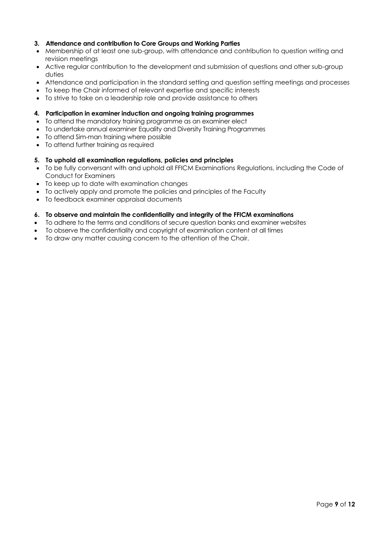## **3. Attendance and contribution to Core Groups and Working Parties**

- Membership of at least one sub-group, with attendance and contribution to question writing and revision meetings
- Active regular contribution to the development and submission of questions and other sub-group duties
- Attendance and participation in the standard setting and question setting meetings and processes
- To keep the Chair informed of relevant expertise and specific interests
- To strive to take on a leadership role and provide assistance to others

#### **4. Participation in examiner induction and ongoing training programmes**

- To attend the mandatory training programme as an examiner elect
- To undertake annual examiner Equality and Diversity Training Programmes
- To attend Sim-man training where possible
- To attend further training as required

#### **5. To uphold all examination regulations, policies and principles**

- To be fully conversant with and uphold all FFICM Examinations Regulations, including the Code of Conduct for Examiners
- To keep up to date with examination changes
- To actively apply and promote the policies and principles of the Faculty
- To feedback examiner appraisal documents

#### **6. To observe and maintain the confidentiality and integrity of the FFICM examinations**

- To adhere to the terms and conditions of secure question banks and examiner websites
- To observe the confidentiality and copyright of examination content at all times
- To draw any matter causing concern to the attention of the Chair.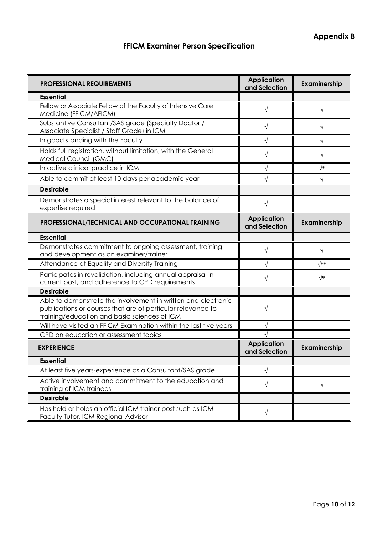# **FFICM Examiner Person Specification**

| <b>PROFESSIONAL REQUIREMENTS</b>                                                                                                                                             | <b>Application</b><br>and Selection | Examinership |
|------------------------------------------------------------------------------------------------------------------------------------------------------------------------------|-------------------------------------|--------------|
| <b>Essential</b>                                                                                                                                                             |                                     |              |
| Fellow or Associate Fellow of the Faculty of Intensive Care<br>Medicine (FFICM/AFICM)                                                                                        | $\sqrt{}$                           | V            |
| Substantive Consultant/SAS grade (Specialty Doctor /<br>Associate Specialist / Staff Grade) in ICM                                                                           | V                                   | $\sqrt{}$    |
| In good standing with the Faculty                                                                                                                                            |                                     | $\sqrt{}$    |
| Holds full registration, without limitation, with the General<br>Medical Council (GMC)                                                                                       | V                                   | V            |
| In active clinical practice in ICM                                                                                                                                           | V                                   | $\sqrt{*}$   |
| Able to commit at least 10 days per academic year                                                                                                                            |                                     |              |
| <b>Desirable</b>                                                                                                                                                             |                                     |              |
| Demonstrates a special interest relevant to the balance of<br>expertise required                                                                                             | $\sqrt{}$                           |              |
| PROFESSIONAL/TECHNICAL AND OCCUPATIONAL TRAINING                                                                                                                             | <b>Application</b><br>and Selection | Examinership |
| <b>Essential</b>                                                                                                                                                             |                                     |              |
| Demonstrates commitment to ongoing assessment, training<br>and development as an examiner/trainer                                                                            | $\sqrt{}$                           | $\sqrt{ }$   |
| Attendance at Equality and Diversity Training                                                                                                                                |                                     | $\sqrt{**}$  |
| Participates in revalidation, including annual appraisal in<br>current post, and adherence to CPD requirements                                                               | V                                   | $\sqrt{*}$   |
| <b>Desirable</b>                                                                                                                                                             |                                     |              |
| Able to demonstrate the involvement in written and electronic<br>publications or courses that are of particular relevance to<br>training/education and basic sciences of ICM | V                                   |              |
| Will have visited an FFICM Examination within the last five years                                                                                                            |                                     |              |
| CPD on education or assessment topics                                                                                                                                        |                                     |              |
| <b>EXPERIENCE</b>                                                                                                                                                            | <b>Application</b><br>and Selection | Examinership |
| <b>Essential</b>                                                                                                                                                             |                                     |              |
| At least five years-experience as a Consultant/SAS grade                                                                                                                     | V                                   |              |
| Active involvement and commitment to the education and<br>training of ICM trainees                                                                                           | V                                   | $\sqrt{}$    |
| <b>Desirable</b>                                                                                                                                                             |                                     |              |
| Has held or holds an official ICM trainer post such as ICM<br>Faculty Tutor, ICM Regional Advisor                                                                            | $\sqrt{}$                           |              |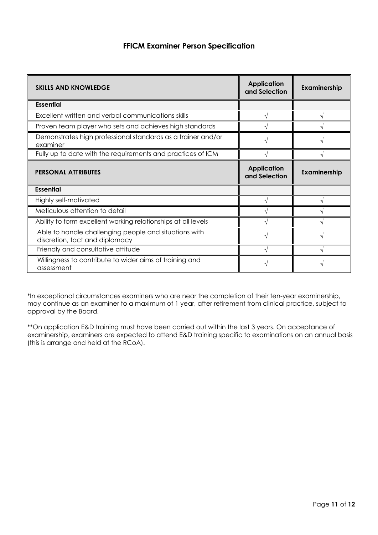# **FFICM Examiner Person Specification**

| <b>SKILLS AND KNOWLEDGE</b>                                                             | <b>Application</b><br>and Selection | Examinership |
|-----------------------------------------------------------------------------------------|-------------------------------------|--------------|
| <b>Essential</b>                                                                        |                                     |              |
| Excellent written and verbal communications skills                                      |                                     |              |
| Proven team player who sets and achieves high standards                                 |                                     |              |
| Demonstrates high professional standards as a trainer and/or<br>examiner                |                                     |              |
| Fully up to date with the requirements and practices of ICM                             |                                     |              |
| <b>PERSONAL ATTRIBUTES</b>                                                              | <b>Application</b><br>and Selection | Examinership |
| <b>Essential</b>                                                                        |                                     |              |
| Highly self-motivated                                                                   |                                     |              |
| Meticulous attention to detail                                                          |                                     |              |
| Ability to form excellent working relationships at all levels                           |                                     |              |
| Able to handle challenging people and situations with<br>discretion, tact and diplomacy |                                     |              |
| Friendly and consultative attitude                                                      |                                     |              |
| Willingness to contribute to wider aims of training and<br>assessment                   |                                     |              |

\*In exceptional circumstances examiners who are near the completion of their ten-year examinership, may continue as an examiner to a maximum of 1 year, after retirement from clinical practice, subject to approval by the Board.

\*\*On application E&D training must have been carried out within the last 3 years. On acceptance of examinership, examiners are expected to attend E&D training specific to examinations on an annual basis (this is arrange and held at the RCoA).